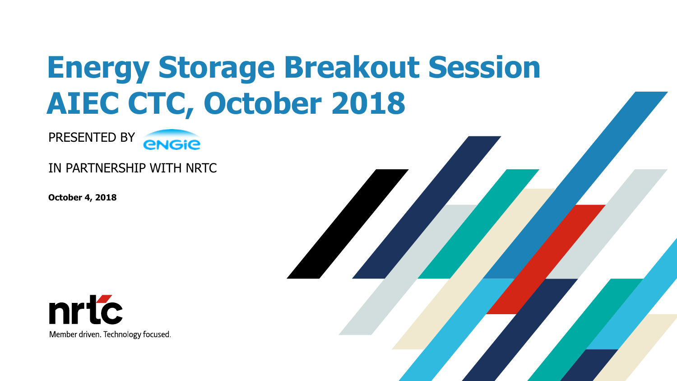# **Energy Storage Breakout Session AIEC CTC, October 2018**



IN PARTNERSHIP WITH NRTC

**October 4, 2018**



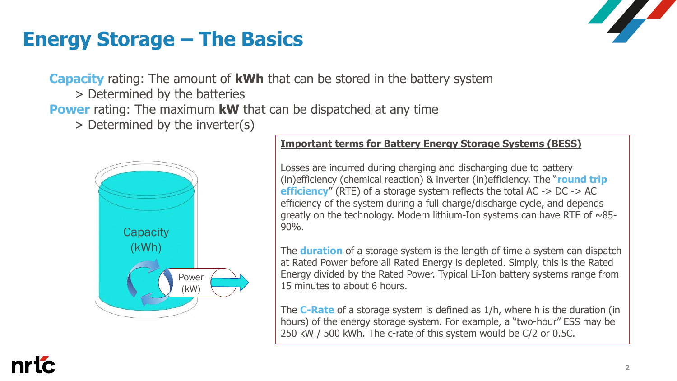

#### **Energy Storage – The Basics**

**Capacity** rating: The amount of **kWh** that can be stored in the battery system

> Determined by the batteries

**Power** rating: The maximum **kW** that can be dispatched at any time

> Determined by the inverter(s)



#### **Important terms for Battery Energy Storage Systems (BESS)**

Losses are incurred during charging and discharging due to battery (in)efficiency (chemical reaction) & inverter (in)efficiency. The "**round trip efficiency**" (RTE) of a storage system reflects the total AC -> DC -> AC efficiency of the system during a full charge/discharge cycle, and depends greatly on the technology. Modern lithium-Ion systems can have RTE of  $\sim 85$ -90%.

The **duration** of a storage system is the length of time a system can dispatch at Rated Power before all Rated Energy is depleted. Simply, this is the Rated Energy divided by the Rated Power. Typical Li-Ion battery systems range from 15 minutes to about 6 hours.

The **C-Rate** of a storage system is defined as 1/h, where h is the duration (in hours) of the energy storage system. For example, a "two-hour" ESS may be 250 kW / 500 kWh. The c-rate of this system would be C/2 or 0.5C.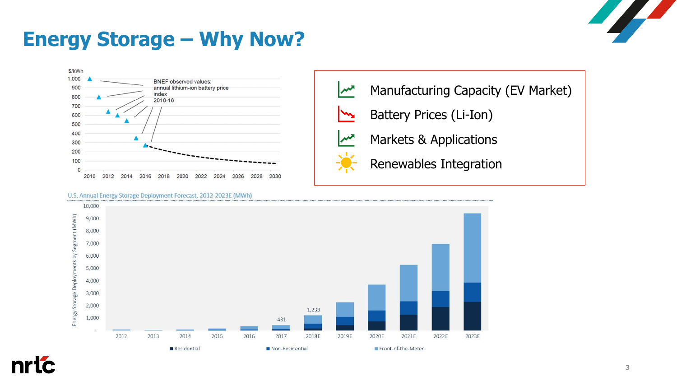

### **Energy Storage – Why Now?**



Battery Prices (Li-Ion)



- Markets & Applications
- Renewables Integration







Manufacturing Capacity (EV Market)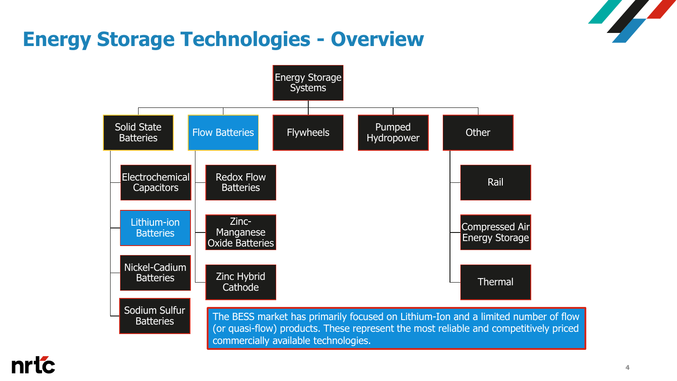

### **Energy Storage Technologies - Overview**

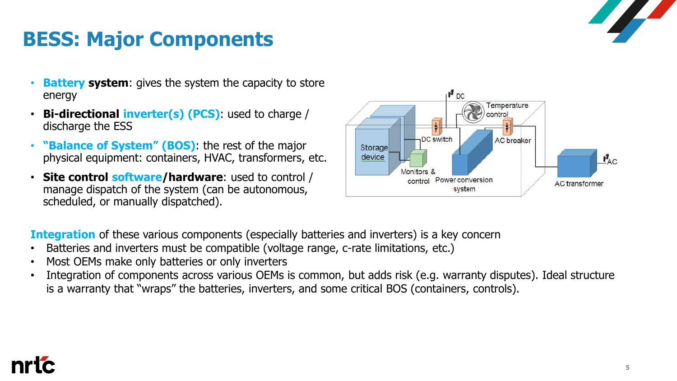

### **BESS: Major Components**

- **Battery system:** gives the system the capacity to store energy
- **Bi-directional inverter(s) (PCS)**: used to charge / discharge the ESS
- **"Balance of System" (BOS)**: the rest of the major physical equipment: containers, HVAC, transformers, etc.
- **Site control software/hardware**: used to control / manage dispatch of the system (can be autonomous, scheduled, or manually dispatched).



**Integration** of these various components (especially batteries and inverters) is a key concern

- Batteries and inverters must be compatible (voltage range, c-rate limitations, etc.)
- Most OEMs make only batteries or only inverters
- Integration of components across various OEMs is common, but adds risk (e.g. warranty disputes). Ideal structure is a warranty that "wraps" the batteries, inverters, and some critical BOS (containers, controls).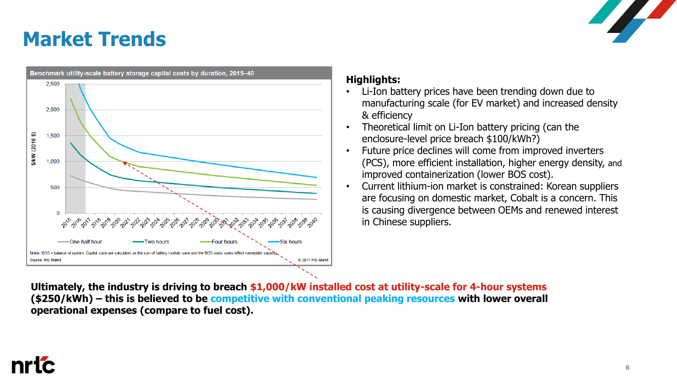### **Market Trends**





#### **Highlights:**

- Li-Ion battery prices have been trending down due to manufacturing scale (for EV market) and increased density & efficiency
- Theoretical limit on Li-Ion battery pricing (can the enclosure-level price breach \$100/kWh?)
- Future price declines will come from improved inverters (PCS), more efficient installation, higher energy density, and improved containerization (lower BOS cost).
- Current lithium-ion market is constrained: Korean suppliers are focusing on domestic market, Cobalt is a concern. This is causing divergence between OEMs and renewed interest in Chinese suppliers.

**Ultimately, the industry is driving to breach \$1,000/kW installed cost at utility-scale for 4-hour systems (\$250/kWh) – this is believed to be competitive with conventional peaking resources with lower overall operational expenses (compare to fuel cost).**

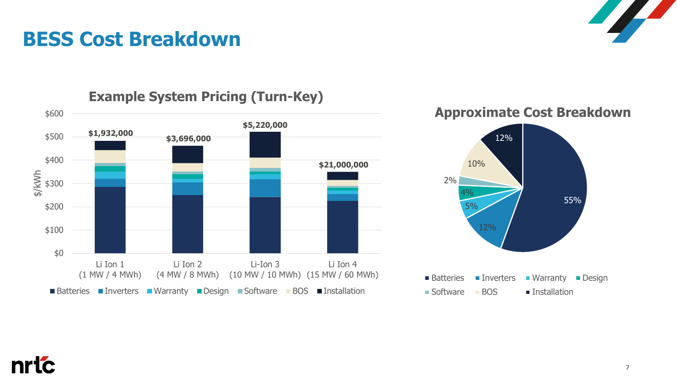#### **BESS Cost Breakdown**





#### **Example System Pricing (Turn-Key)**

#### **Approximate Cost Breakdown**



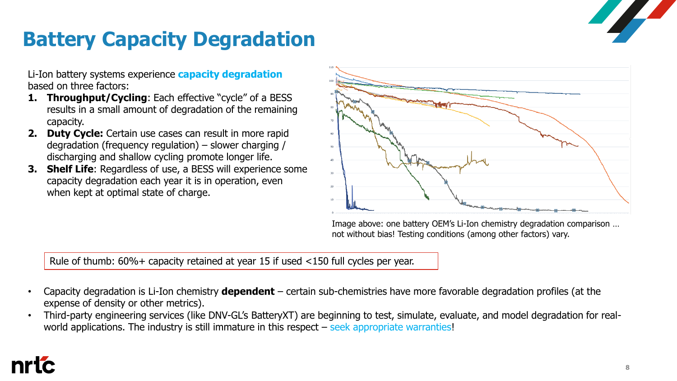

## **Battery Capacity Degradation**

Li-Ion battery systems experience **capacity degradation**  based on three factors:

- **1. Throughput/Cycling**: Each effective "cycle" of a BESS results in a small amount of degradation of the remaining capacity.
- **2. Duty Cycle:** Certain use cases can result in more rapid degradation (frequency regulation) – slower charging / discharging and shallow cycling promote longer life.
- **3. Shelf Life**: Regardless of use, a BESS will experience some capacity degradation each year it is in operation, even when kept at optimal state of charge.



Image above: one battery OEM's Li-Ion chemistry degradation comparison … not without bias! Testing conditions (among other factors) vary.

Rule of thumb: 60%+ capacity retained at year 15 if used <150 full cycles per year.

- Capacity degradation is Li-Ion chemistry **dependent** certain sub-chemistries have more favorable degradation profiles (at the expense of density or other metrics).
- Third-party engineering services (like DNV-GL's BatteryXT) are beginning to test, simulate, evaluate, and model degradation for realworld applications. The industry is still immature in this respect  $-$  seek appropriate warranties!

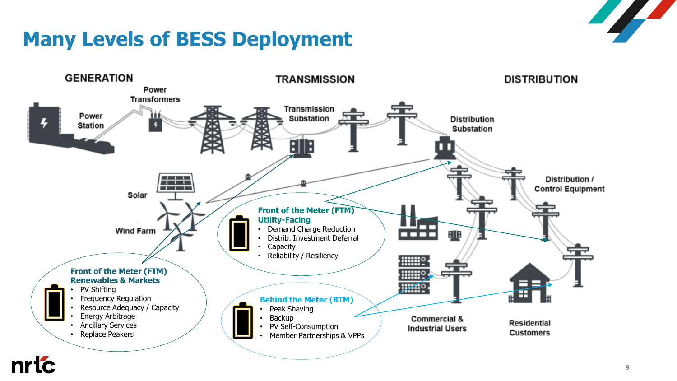#### **Many Levels of BESS Deployment**



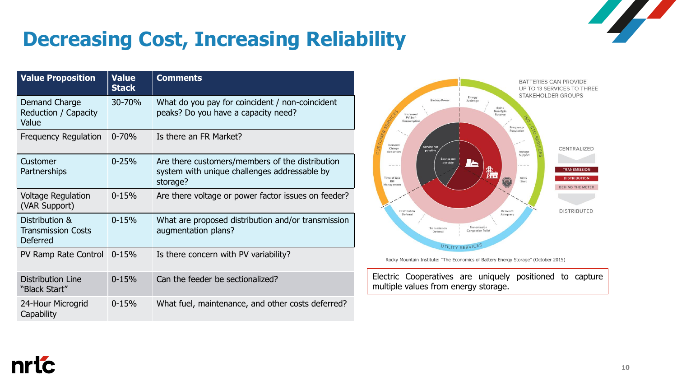

## **Decreasing Cost, Increasing Reliability**

| <b>Value Proposition</b>                                       | <b>Value</b><br><b>Stack</b> | <b>Comments</b>                                                                                             |
|----------------------------------------------------------------|------------------------------|-------------------------------------------------------------------------------------------------------------|
| Demand Charge<br>Reduction / Capacity<br>Value                 | 30-70%                       | What do you pay for coincident / non-coincident<br>peaks? Do you have a capacity need?                      |
| <b>Frequency Regulation</b>                                    | $0 - 70%$                    | Is there an FR Market?                                                                                      |
| Customer<br>Partnerships                                       | $0 - 25%$                    | Are there customers/members of the distribution<br>system with unique challenges addressable by<br>storage? |
| <b>Voltage Regulation</b><br>(VAR Support)                     | $0 - 15%$                    | Are there voltage or power factor issues on feeder?                                                         |
| Distribution &<br><b>Transmission Costs</b><br><b>Deferred</b> | $0 - 15%$                    | What are proposed distribution and/or transmission<br>augmentation plans?                                   |
| PV Ramp Rate Control                                           | $0 - 15%$                    | Is there concern with PV variability?                                                                       |
| <b>Distribution Line</b><br>"Black Start"                      | $0 - 15%$                    | Can the feeder be sectionalized?                                                                            |
| 24-Hour Microgrid<br>Capability                                | $0 - 15%$                    | What fuel, maintenance, and other costs deferred?                                                           |



Rocky Mountain Institute: "The Economics of Battery Energy Storage" (October 2015)

Electric Cooperatives are uniquely positioned to capture multiple values from energy storage.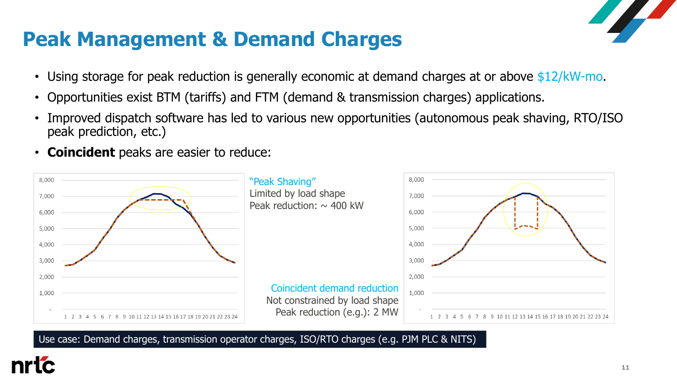### **Peak Management & Demand Charges**

- 
- Using storage for peak reduction is generally economic at demand charges at or above \$12/kW-mo.
- Opportunities exist BTM (tariffs) and FTM (demand & transmission charges) applications.
- Improved dispatch software has led to various new opportunities (autonomous peak shaving, RTO/ISO peak prediction, etc.)
- **Coincident** peaks are easier to reduce:



Use case: Demand charges, transmission operator charges, ISO/RTO charges (e.g. PJM PLC & NITS)

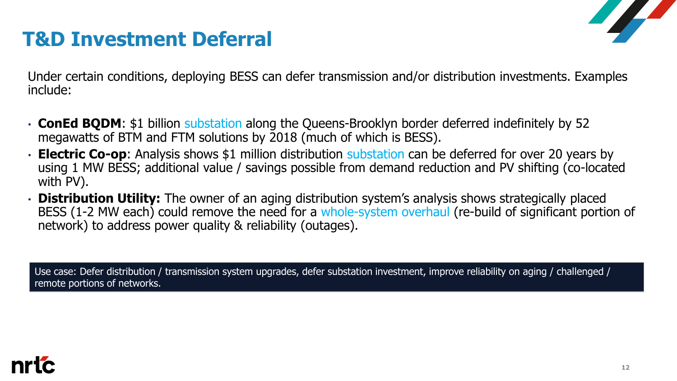

#### **T&D Investment Deferral**

Under certain conditions, deploying BESS can defer transmission and/or distribution investments. Examples include:

- **ConEd BQDM**: \$1 billion substation along the Queens-Brooklyn border deferred indefinitely by 52 megawatts of BTM and FTM solutions by 2018 (much of which is BESS).
- **Electric Co-op**: Analysis shows \$1 million distribution substation can be deferred for over 20 years by using 1 MW BESS; additional value / savings possible from demand reduction and PV shifting (co-located with PV).
- **Distribution Utility:** The owner of an aging distribution system's analysis shows strategically placed BESS (1-2 MW each) could remove the need for a whole-system overhaul (re-build of significant portion of network) to address power quality & reliability (outages).

Use case: Defer distribution / transmission system upgrades, defer substation investment, improve reliability on aging / challenged / remote portions of networks.

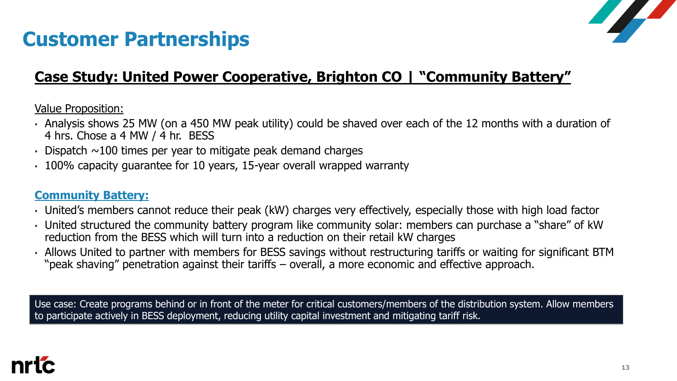### **Customer Partnerships**



#### **Case Study: United Power Cooperative, Brighton CO | "Community Battery"**

#### Value Proposition:

- Analysis shows 25 MW (on a 450 MW peak utility) could be shaved over each of the 12 months with a duration of 4 hrs. Chose a 4 MW / 4 hr. BESS
- Dispatch  $\sim$ 100 times per year to mitigate peak demand charges
- 100% capacity quarantee for 10 years, 15-year overall wrapped warranty

#### **Community Battery:**

- United's members cannot reduce their peak (kW) charges very effectively, especially those with high load factor
- United structured the community battery program like community solar: members can purchase a "share" of kW reduction from the BESS which will turn into a reduction on their retail kW charges
- Allows United to partner with members for BESS savings without restructuring tariffs or waiting for significant BTM "peak shaving" penetration against their tariffs – overall, a more economic and effective approach.

Use case: Create programs behind or in front of the meter for critical customers/members of the distribution system. Allow members to participate actively in BESS deployment, reducing utility capital investment and mitigating tariff risk.

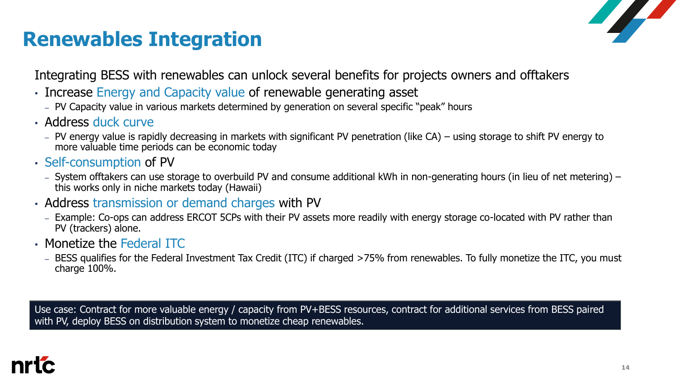

#### **Renewables Integration**

Integrating BESS with renewables can unlock several benefits for projects owners and offtakers

- Increase Energy and Capacity value of renewable generating asset
	- PV Capacity value in various markets determined by generation on several specific "peak" hours
- Address duck curve
	- PV energy value is rapidly decreasing in markets with significant PV penetration (like CA) using storage to shift PV energy to more valuable time periods can be economic today
- Self-consumption of PV
	- System offtakers can use storage to overbuild PV and consume additional kWh in non-generating hours (in lieu of net metering) this works only in niche markets today (Hawaii)
- Address transmission or demand charges with PV
	- Example: Co-ops can address ERCOT 5CPs with their PV assets more readily with energy storage co-located with PV rather than PV (trackers) alone.
- Monetize the Federal ITC
	- BESS qualifies for the Federal Investment Tax Credit (ITC) if charged >75% from renewables. To fully monetize the ITC, you must charge 100%.

Use case: Contract for more valuable energy / capacity from PV+BESS resources, contract for additional services from BESS paired with PV, deploy BESS on distribution system to monetize cheap renewables.